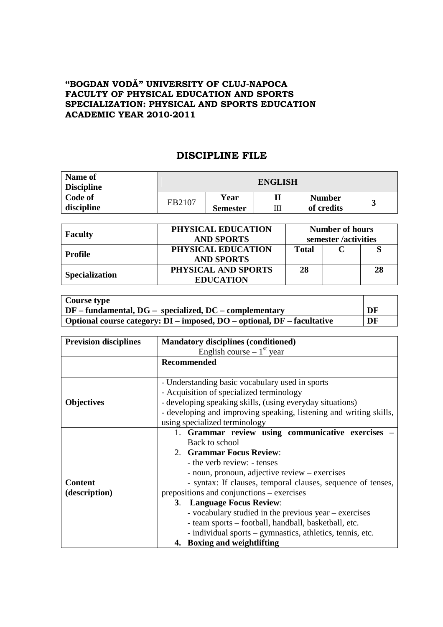## **"BOGDAN VODĂ" UNIVERSITY OF CLUJ-NAPOCA FACULTY OF PHYSICAL EDUCATION AND SPORTS SPECIALIZATION: PHYSICAL AND SPORTS EDUCATION ACADEMIC YEAR 2010-2011**

## **DISCIPLINE FILE**

| <b>Name of</b><br><b>Discipline</b> | <b>ENGLISH</b> |                 |   |                             |  |  |
|-------------------------------------|----------------|-----------------|---|-----------------------------|--|--|
| Code of                             | EB2107         | Year            |   | <b>Number</b><br>of credits |  |  |
| discipline                          |                | <b>Semester</b> | Ш |                             |  |  |

| <b>Faculty</b>        | PHYSICAL EDUCATION<br><b>AND SPORTS</b> | <b>Number of hours</b><br>semester /activities |  |    |
|-----------------------|-----------------------------------------|------------------------------------------------|--|----|
| Profile               | PHYSICAL EDUCATION<br><b>AND SPORTS</b> | <b>Total</b>                                   |  |    |
| <b>Specialization</b> | PHYSICAL AND SPORTS<br><b>EDUCATION</b> | 28                                             |  | 28 |

| Course type                                                                   |    |
|-------------------------------------------------------------------------------|----|
| $\vert$ DF – fundamental, DG – specialized, DC – complementary                | DF |
| Optional course category: $DI$ – imposed, $DO$ – optional, $DF$ – facultative | DF |

| <b>Prevision disciplines</b> | <b>Mandatory disciplines (conditioned)</b>                                               |  |  |  |
|------------------------------|------------------------------------------------------------------------------------------|--|--|--|
|                              | English course $-1st$ year                                                               |  |  |  |
|                              | Recommended                                                                              |  |  |  |
|                              |                                                                                          |  |  |  |
|                              | - Understanding basic vocabulary used in sports                                          |  |  |  |
|                              | - Acquisition of specialized terminology                                                 |  |  |  |
| <b>Objectives</b>            | - developing speaking skills, (using everyday situations)                                |  |  |  |
|                              | - developing and improving speaking, listening and writing skills,                       |  |  |  |
|                              | using specialized terminology                                                            |  |  |  |
|                              | 1. Grammar review using communicative exercises                                          |  |  |  |
|                              | Back to school                                                                           |  |  |  |
|                              | 2. Grammar Focus Review:<br>- the verb review: - tenses                                  |  |  |  |
|                              |                                                                                          |  |  |  |
|                              | - noun, pronoun, adjective review – exercises                                            |  |  |  |
| <b>Content</b>               | - syntax: If clauses, temporal clauses, sequence of tenses,                              |  |  |  |
| (description)                | prepositions and conjunctions – exercises                                                |  |  |  |
|                              | 3. Language Focus Review:                                                                |  |  |  |
|                              | - vocabulary studied in the previous year – exercises                                    |  |  |  |
|                              | - team sports - football, handball, basketball, etc.                                     |  |  |  |
|                              | - individual sports – gymnastics, athletics, tennis, etc.<br>4. Boxing and weightlifting |  |  |  |
|                              |                                                                                          |  |  |  |